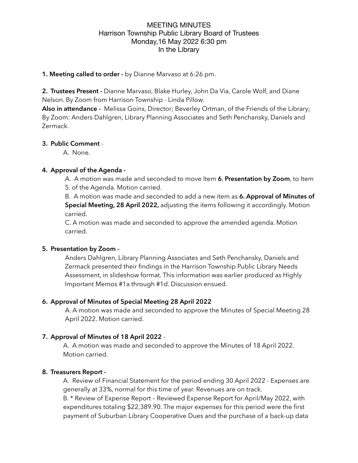## **1. Meeting called to order -** by Dianne Marvaso at 6:26 pm.

**2. Trustees Present -** Dianne Marvaso, Blake Hurley, John Da Via, Carole Wolf, and Diane Nelson. By Zoom from Harrison Township - Linda Pillow.

**Also in attendance -** Melissa Goins, Director; Beverley Ortman, of the Friends of the Library; By Zoom: Anders Dahlgren, Library Planning Associates and Seth Penchansky, Daniels and Zermack.

#### **3. Public Comment** -

A. None.

## **4. Approval of the Agenda -**

A. A motion was made and seconded to move Item **6**, **Presentation by Zoom**, to Item 5. of the Agenda. Motion carried.

B. A motion was made and seconded to add a new item as **6. Approval of Minutes of Special Meeting, 28 April 2022,** adjusting the items following it accordingly. Motion carried.

C. A motion was made and seconded to approve the amended agenda. Motion carried.

## **5. Presentation by Zoom -**

Anders Dahlgren, Library Planning Associates and Seth Penchansky, Daniels and Zermack presented their findings in the Harrison Township Public Library Needs Assessment, in slideshow format. This information was earlier produced as Highly Important Memos #1a through #1d. Discussion ensued.

## **6. Approval of Minutes of Special Meeting 28 April 2022**

A. A motion was made and seconded to approve the Minutes of Special Meeting 28 April 2022. Motion carried.

## **7. Approval of Minutes of 18 April 2022** -

A. A motion was made and seconded to approve the Minutes of 18 April 2022. Motion carried.

## **8. Treasurers Report -**

A. Review of Financial Statement for the period ending 30 April 2022 - Expenses are generally at 33%, normal for this time of year. Revenues are on track.

B. \* Review of Expense Report – Reviewed Expense Report for April/May 2022, with expenditures totaling \$22,389.90. The major expenses for this period were the first payment of Suburban Library Cooperative Dues and the purchase of a back-up data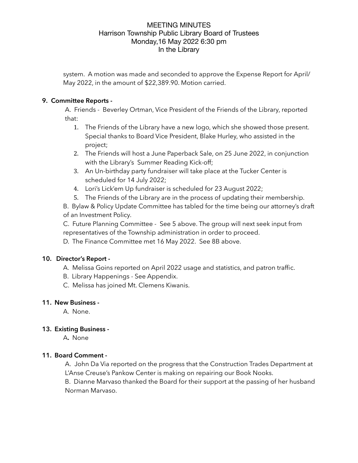system. A motion was made and seconded to approve the Expense Report for April/ May 2022, in the amount of \$22,389.90. Motion carried.

## **9. Committee Reports -**

A. Friends - Beverley Ortman, Vice President of the Friends of the Library, reported that:

- 1. The Friends of the Library have a new logo, which she showed those present. Special thanks to Board Vice President, Blake Hurley, who assisted in the project;
- 2. The Friends will host a June Paperback Sale, on 25 June 2022, in conjunction with the Library's Summer Reading Kick-off;
- 3. An Un-birthday party fundraiser will take place at the Tucker Center is scheduled for 14 July 2022;
- 4. Lori's Lick'em Up fundraiser is scheduled for 23 August 2022;
- 5. The Friends of the Library are in the process of updating their membership.

B. Bylaw & Policy Update Committee has tabled for the time being our attorney's draft of an Investment Policy.

C. Future Planning Committee - See 5 above. The group will next seek input from representatives of the Township administration in order to proceed.

D. The Finance Committee met 16 May 2022. See 8B above.

## **10. Director's Report -**

- A. Melissa Goins reported on April 2022 usage and statistics, and patron traffic.
- B. Library Happenings See Appendix.
- C. Melissa has joined Mt. Clemens Kiwanis.

#### **11. New Business -**

A. None.

## **13. Existing Business -**

A**.** None

## **11. Board Comment -**

A.John Da Via reported on the progress that the Construction Trades Department at L'Anse Creuse's Pankow Center is making on repairing our Book Nooks.

B. Dianne Marvaso thanked the Board for their support at the passing of her husband Norman Marvaso.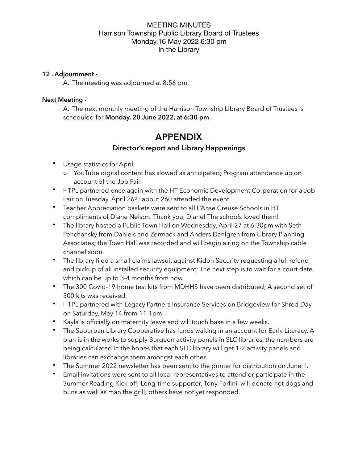### **12 . Adjournment -**

A. The meeting was adjourned at 8:56 pm.

## **Next Meeting -**

A. The next monthly meeting of the Harrison Township Library Board of Trustees is scheduled for **Monday, 20 June 2022, at 6:30 pm**.

# **APPENDIX**

## **Director's report and Library Happenings**

- Usage statistics for April.
	- o YouTube digital content has slowed as anticipated; Program attendance up on account of the Job Fair.
- HTPL partnered once again with the HT Economic Development Corporation for a Job Fair on Tuesday, April 26th; about 260 attended the event.
- Teacher Appreciation baskets were sent to all L'Anse Creuse Schools in HT compliments of Diane Nelson. Thank you, Diane! The schools loved them!
- The library hosted a Public Town Hall on Wednesday, April 27 at 6:30pm with Seth Penchansky from Daniels and Zermack and Anders Dahlgren from Library Planning Associates; the Town Hall was recorded and will begin airing on the Township cable channel soon.
- The library filed a small claims lawsuit against Kidon Security requesting a full refund and pickup of all installed security equipment; The next step is to wait for a court date, which can be up to 3-4 months from now.
- The 300 Covid-19 home test kits from MDHHS have been distributed; A second set of 300 kits was received.
- HTPL partnered with Legacy Partners Insurance Services on Bridgeview for Shred Day on Saturday, May 14 from 11-1pm.
- Kayla is officially on maternity leave and will touch base in a few weeks.
- The Suburban Library Cooperative has funds waiting in an account for Early Literacy. A plan is in the works to supply Burgeon activity panels in SLC libraries. the numbers are being calculated in the hopes that each SLC library will get 1-2 activity panels and libraries can exchange them amongst each other.
- The Summer 2022 newsletter has been sent to the printer for distribution on June 1.
- Email invitations were sent to all local representatives to attend or participate in the Summer Reading Kick-off; Long-time supporter, Tony Forlini, will donate hot dogs and buns as well as man the grill; others have not yet responded.